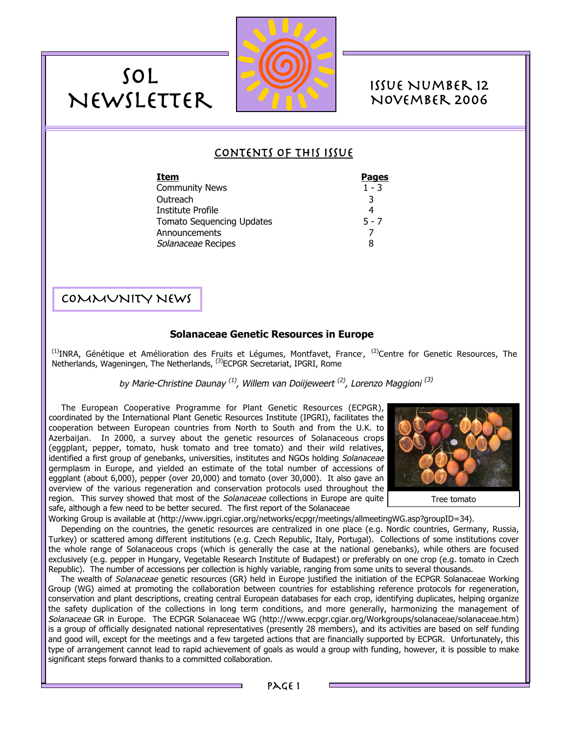

# Issue Number 12 November 2006

# Contents of this Issue

| Item                             | <b>Pages</b> |
|----------------------------------|--------------|
| <b>Community News</b>            | $1 - 3$      |
| Outreach                         | 3            |
| Institute Profile                |              |
| <b>Tomato Sequencing Updates</b> | $5 - 7$      |
| Announcements                    |              |
| Solanaceae Recipes               | 8            |
|                                  |              |

# COMMUNITY NEWS

SOL

Newsletter

# **Solanaceae Genetic Resources in Europe**

<sup>(1)</sup>INRA, Génétique et Amélioration des Fruits et Légumes, Montfavet, France<sup>, (2)</sup>Centre for Genetic Resources, The Netherlands, Wageningen, The Netherlands, (3)ECPGR Secretariat, IPGRI, Rome

*by* Marie-Christine Daunay (1), Willem van Doiijeweert (2), Lorenzo Maggioni (3)

The European Cooperative Programme for Plant Genetic Resources (ECPGR), coordinated by the International Plant Genetic Resources Institute (IPGRI), facilitates the cooperation between European countries from North to South and from the U.K. to Azerbaijan. In 2000, a survey about the genetic resources of Solanaceous crops (eggplant, pepper, tomato, husk tomato and tree tomato) and their wild relatives, identified a first group of genebanks, universities, institutes and NGOs holding Solanaceae germplasm in Europe, and yielded an estimate of the total number of accessions of eggplant (about 6,000), pepper (over 20,000) and tomato (over 30,000). It also gave an overview of the various regeneration and conservation protocols used throughout the region. This survey showed that most of the *Solanaceae* collections in Europe are quite safe, although a few need to be better secured. The first report of the Solanaceae



Tree tomato

Working Group is available at (http://www.ipgri.cgiar.org/networks/ecpgr/meetings/allmeetingWG.asp?groupID=34).

Depending on the countries, the genetic resources are centralized in one place (e.g. Nordic countries, Germany, Russia, Turkey) or scattered among different institutions (e.g. Czech Republic, Italy, Portugal). Collections of some institutions cover the whole range of Solanaceous crops (which is generally the case at the national genebanks), while others are focused exclusively (e.g. pepper in Hungary, Vegetable Research Institute of Budapest) or preferably on one crop (e.g. tomato in Czech Republic). The number of accessions per collection is highly variable, ranging from some units to several thousands.

The wealth of Solanaceae genetic resources (GR) held in Europe justified the initiation of the ECPGR Solanaceae Working Group (WG) aimed at promoting the collaboration between countries for establishing reference protocols for regeneration, conservation and plant descriptions, creating central European databases for each crop, identifying duplicates, helping organize the safety duplication of the collections in long term conditions, and more generally, harmonizing the management of Solanaceae GR in Europe. The ECPGR Solanaceae WG (http://www.ecpgr.cgiar.org/Workgroups/solanaceae/solanaceae.htm) is a group of officially designated national representatives (presently 28 members), and its activities are based on self funding and good will, except for the meetings and a few targeted actions that are financially supported by ECPGR. Unfortunately, this type of arrangement cannot lead to rapid achievement of goals as would a group with funding, however, it is possible to make significant steps forward thanks to a committed collaboration.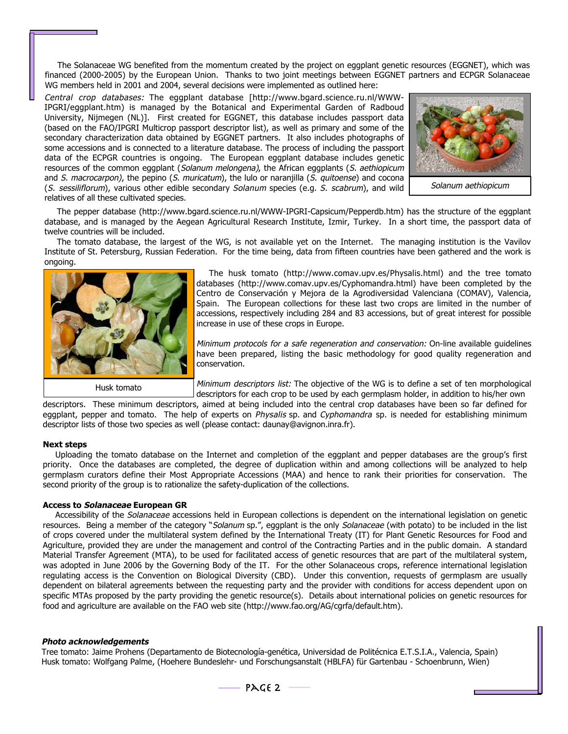The Solanaceae WG benefited from the momentum created by the project on eggplant genetic resources (EGGNET), which was financed (2000-2005) by the European Union. Thanks to two joint meetings between EGGNET partners and ECPGR Solanaceae WG members held in 2001 and 2004, several decisions were implemented as outlined here:

Central crop databases: The eggplant database [http://www.bgard.science.ru.nl/WWW-IPGRI/eggplant.htm) is managed by the Botanical and Experimental Garden of Radboud University, Nijmegen (NL)]. First created for EGGNET, this database includes passport data (based on the FAO/IPGRI Multicrop passport descriptor list), as well as primary and some of the secondary characterization data obtained by EGGNET partners. It also includes photographs of some accessions and is connected to a literature database. The process of including the passport data of the ECPGR countries is ongoing. The European eggplant database includes genetic resources of the common eggplant (Solanum melongena), the African eggplants (S. aethiopicum and S. macrocarpon), the pepino (S. muricatum), the lulo or naranjilla (S. quitoense) and cocona (S. sessiliflorum), various other edible secondary Solanum species (e.g. S. scabrum), and wild relatives of all these cultivated species.



Solanum aethiopicum

The pepper database (http://www.bgard.science.ru.nl/WWW-IPGRI-Capsicum/Pepperdb.htm) has the structure of the eggplant database, and is managed by the Aegean Agricultural Research Institute, Izmir, Turkey. In a short time, the passport data of twelve countries will be included.

The tomato database, the largest of the WG, is not available yet on the Internet. The managing institution is the Vavilov Institute of St. Petersburg, Russian Federation. For the time being, data from fifteen countries have been gathered and the work is ongoing.



The husk tomato (http://www.comav.upv.es/Physalis.html) and the tree tomato databases (http://www.comav.upv.es/Cyphomandra.html) have been completed by the Centro de Conservación y Mejora de la Agrodiversidad Valenciana (COMAV), Valencia, Spain. The European collections for these last two crops are limited in the number of accessions, respectively including 284 and 83 accessions, but of great interest for possible increase in use of these crops in Europe.

Minimum protocols for a safe regeneration and conservation: On-line available guidelines have been prepared, listing the basic methodology for good quality regeneration and conservation.

Minimum descriptors list: The objective of the WG is to define a set of ten morphological descriptors for each crop to be used by each germplasm holder, in addition to his/her own

descriptors. These minimum descriptors, aimed at being included into the central crop databases have been so far defined for eggplant, pepper and tomato. The help of experts on *Physalis* sp. and Cyphomandra sp. is needed for establishing minimum descriptor lists of those two species as well (please contact: daunay@avignon.inra.fr).

#### **Next steps**

Uploading the tomato database on the Internet and completion of the eggplant and pepper databases are the group's first priority. Once the databases are completed, the degree of duplication within and among collections will be analyzed to help germplasm curators define their Most Appropriate Accessions (MAA) and hence to rank their priorities for conservation. The second priority of the group is to rationalize the safety-duplication of the collections.

### **Access to Solanaceae European GR**

Accessibility of the Solanaceae accessions held in European collections is dependent on the international legislation on genetic resources. Being a member of the category "Solanum sp.", eggplant is the only Solanaceae (with potato) to be included in the list of crops covered under the multilateral system defined by the International Treaty (IT) for Plant Genetic Resources for Food and Agriculture, provided they are under the management and control of the Contracting Parties and in the public domain. A standard Material Transfer Agreement (MTA), to be used for facilitated access of genetic resources that are part of the multilateral system, was adopted in June 2006 by the Governing Body of the IT. For the other Solanaceous crops, reference international legislation regulating access is the Convention on Biological Diversity (CBD). Under this convention, requests of germplasm are usually dependent on bilateral agreements between the requesting party and the provider with conditions for access dependent upon on specific MTAs proposed by the party providing the genetic resource(s). Details about international policies on genetic resources for food and agriculture are available on the FAO web site (http://www.fao.org/AG/cgrfa/default.htm).

#### **Photo acknowledgements**

Tree tomato: Jaime Prohens (Departamento de Biotecnología-genética, Universidad de Politécnica E.T.S.I.A., Valencia, Spain) Husk tomato: Wolfgang Palme, (Hoehere Bundeslehr- und Forschungsanstalt (HBLFA) für Gartenbau - Schoenbrunn, Wien)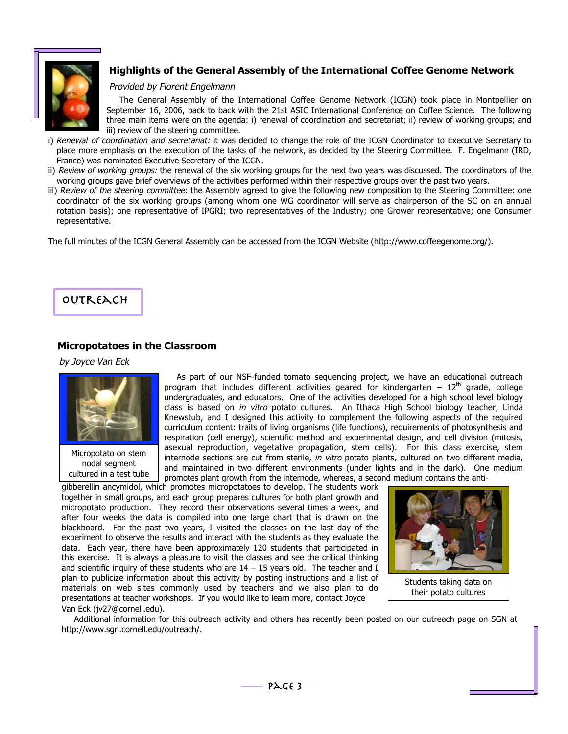

# **Highlights of the General Assembly of the International Coffee Genome Network**

### Provided by Florent Engelmann

The General Assembly of the International Coffee Genome Network (ICGN) took place in Montpellier on September 16, 2006, back to back with the 21st ASIC International Conference on Coffee Science. The following three main items were on the agenda: i) renewal of coordination and secretariat; ii) review of working groups; and iii) review of the steering committee.

- i) Renewal of coordination and secretariat: it was decided to change the role of the ICGN Coordinator to Executive Secretary to place more emphasis on the execution of the tasks of the network, as decided by the Steering Committee. F. Engelmann (IRD, France) was nominated Executive Secretary of the ICGN.
- ii) Review of working groups: the renewal of the six working groups for the next two years was discussed. The coordinators of the working groups gave brief overviews of the activities performed within their respective groups over the past two years.
- iii) Review of the steering committee: the Assembly agreed to give the following new composition to the Steering Committee: one coordinator of the six working groups (among whom one WG coordinator will serve as chairperson of the SC on an annual rotation basis); one representative of IPGRI; two representatives of the Industry; one Grower representative; one Consumer representative.

The full minutes of the ICGN General Assembly can be accessed from the ICGN Website (http://www.coffeegenome.org/).

# **OUTREACH**

## **Micropotatoes in the Classroom**

### by Joyce Van Eck



Micropotato on stem nodal segment cultured in a test tube

As part of our NSF-funded tomato sequencing project, we have an educational outreach program that includes different activities geared for kindergarten  $-12^{th}$  grade, college undergraduates, and educators. One of the activities developed for a high school level biology class is based on in vitro potato cultures. An Ithaca High School biology teacher, Linda Knewstub, and I designed this activity to complement the following aspects of the required curriculum content: traits of living organisms (life functions), requirements of photosynthesis and respiration (cell energy), scientific method and experimental design, and cell division (mitosis, asexual reproduction, vegetative propagation, stem cells). For this class exercise, stem internode sections are cut from sterile, in vitro potato plants, cultured on two different media, and maintained in two different environments (under lights and in the dark). One medium promotes plant growth from the internode, whereas, a second medium contains the anti-

gibberellin ancymidol, which promotes micropotatoes to develop. The students work together in small groups, and each group prepares cultures for both plant growth and micropotato production. They record their observations several times a week, and after four weeks the data is compiled into one large chart that is drawn on the blackboard. For the past two years, I visited the classes on the last day of the experiment to observe the results and interact with the students as they evaluate the data. Each year, there have been approximately 120 students that participated in this exercise. It is always a pleasure to visit the classes and see the critical thinking and scientific inquiry of these students who are  $14 - 15$  years old. The teacher and I plan to publicize information about this activity by posting instructions and a list of materials on web sites commonly used by teachers and we also plan to do presentations at teacher workshops. If you would like to learn more, contact Joyce Van Eck (jv27@cornell.edu).



Students taking data on their potato cultures

Additional information for this outreach activity and others has recently been posted on our outreach page on SGN at http://www.sgn.cornell.edu/outreach/.

PAGE 3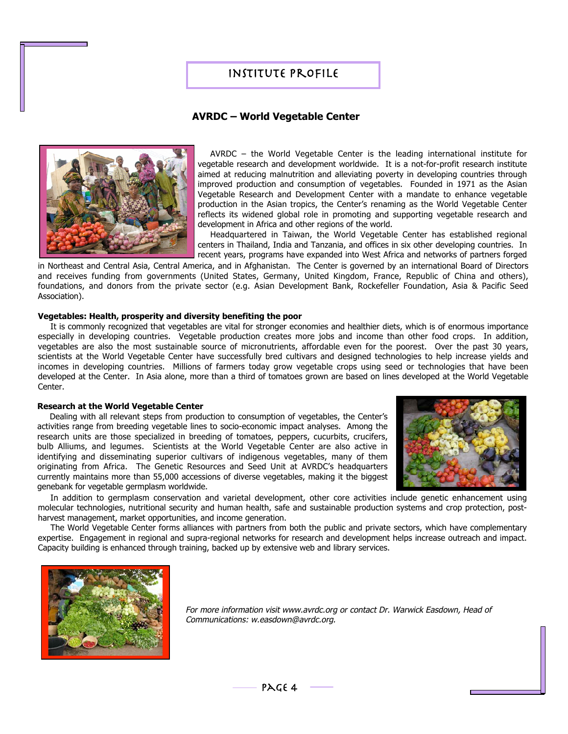# Institute Profile

## **AVRDC – World Vegetable Center**



AVRDC – the World Vegetable Center is the leading international institute for vegetable research and development worldwide. It is a not-for-profit research institute aimed at reducing malnutrition and alleviating poverty in developing countries through improved production and consumption of vegetables. Founded in 1971 as the Asian Vegetable Research and Development Center with a mandate to enhance vegetable production in the Asian tropics, the Center's renaming as the World Vegetable Center reflects its widened global role in promoting and supporting vegetable research and development in Africa and other regions of the world.

Headquartered in Taiwan, the World Vegetable Center has established regional centers in Thailand, India and Tanzania, and offices in six other developing countries. In recent years, programs have expanded into West Africa and networks of partners forged

in Northeast and Central Asia, Central America, and in Afghanistan. The Center is governed by an international Board of Directors and receives funding from governments (United States, Germany, United Kingdom, France, Republic of China and others), foundations, and donors from the private sector (e.g. Asian Development Bank, Rockefeller Foundation, Asia & Pacific Seed Association).

### **Vegetables: Health, prosperity and diversity benefiting the poor**

It is commonly recognized that vegetables are vital for stronger economies and healthier diets, which is of enormous importance especially in developing countries. Vegetable production creates more jobs and income than other food crops. In addition, vegetables are also the most sustainable source of micronutrients, affordable even for the poorest. Over the past 30 years, scientists at the World Vegetable Center have successfully bred cultivars and designed technologies to help increase yields and incomes in developing countries. Millions of farmers today grow vegetable crops using seed or technologies that have been developed at the Center. In Asia alone, more than a third of tomatoes grown are based on lines developed at the World Vegetable Center.

#### **Research at the World Vegetable Center**

Dealing with all relevant steps from production to consumption of vegetables, the Center's activities range from breeding vegetable lines to socio-economic impact analyses. Among the research units are those specialized in breeding of tomatoes, peppers, cucurbits, crucifers, bulb Alliums, and legumes. Scientists at the World Vegetable Center are also active in identifying and disseminating superior cultivars of indigenous vegetables, many of them originating from Africa. The Genetic Resources and Seed Unit at AVRDC's headquarters currently maintains more than 55,000 accessions of diverse vegetables, making it the biggest genebank for vegetable germplasm worldwide.



In addition to germplasm conservation and varietal development, other core activities include genetic enhancement using molecular technologies, nutritional security and human health, safe and sustainable production systems and crop protection, postharvest management, market opportunities, and income generation.

The World Vegetable Center forms alliances with partners from both the public and private sectors, which have complementary expertise. Engagement in regional and supra-regional networks for research and development helps increase outreach and impact. Capacity building is enhanced through training, backed up by extensive web and library services.



For more information visit www.avrdc.org or contact Dr. Warwick Easdown, Head of Communications: w.easdown@avrdc.org.

PAGE 4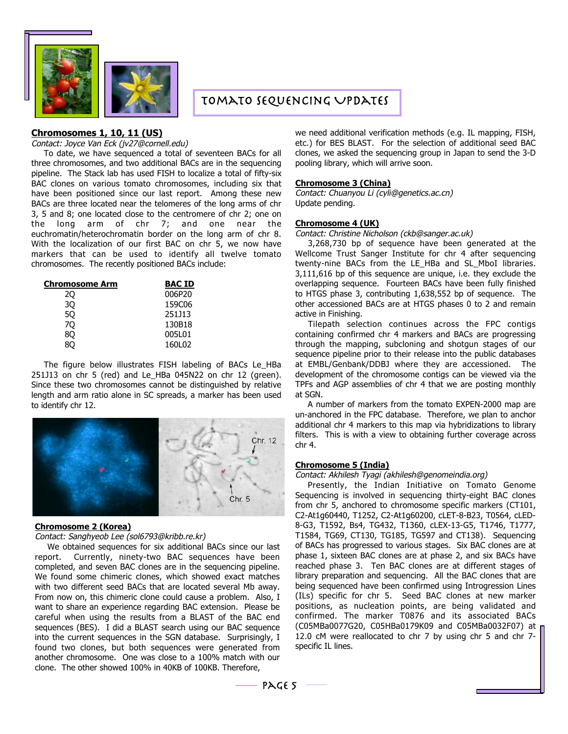

# Tomato Sequencing Updates

### **Chromosomes 1, 10, 11 (US)**

#### Contact: Joyce Van Eck (jv27@cornell.edu)

To date, we have sequenced a total of seventeen BACs for all three chromosomes, and two additional BACs are in the sequencing pipeline. The Stack lab has used FISH to localize a total of fifty-six BAC clones on various tomato chromosomes, including six that have been positioned since our last report. Among these new BACs are three located near the telomeres of the long arms of chr 3, 5 and 8; one located close to the centromere of chr 2; one on the long arm of chr 7; and one near the euchromatin/heterochromatin border on the long arm of chr 8. With the localization of our first BAC on chr 5, we now have markers that can be used to identify all twelve tomato chromosomes. The recently positioned BACs include:

| Chromosome Arm | <b>BAC ID</b> |
|----------------|---------------|
| 20             | 006P20        |
| 30             | 159C06        |
| 50             | 251J13        |
| 70             | 130B18        |
| 80             | 005L01        |
|                | 160L02        |

The figure below illustrates FISH labeling of BACs Le\_HBa 251J13 on chr 5 (red) and Le\_HBa 045N22 on chr 12 (green). Since these two chromosomes cannot be distinguished by relative length and arm ratio alone in SC spreads, a marker has been used to identify chr 12.



#### **Chromosome 2 (Korea)**

Contact: Sanghyeob Lee (sol6793@kribb.re.kr)

We obtained sequences for six additional BACs since our last report. Currently, ninety-two BAC sequences have been completed, and seven BAC clones are in the sequencing pipeline. We found some chimeric clones, which showed exact matches with two different seed BACs that are located several Mb away. From now on, this chimeric clone could cause a problem. Also, I want to share an experience regarding BAC extension. Please be careful when using the results from a BLAST of the BAC end sequences (BES). I did a BLAST search using our BAC sequence into the current sequences in the SGN database. Surprisingly, I found two clones, but both sequences were generated from another chromosome. One was close to a 100% match with our clone. The other showed 100% in 40KB of 100KB. Therefore,

we need additional verification methods (e.g. IL mapping, FISH, etc.) for BES BLAST. For the selection of additional seed BAC clones, we asked the sequencing group in Japan to send the 3-D pooling library, which will arrive soon.

#### **Chromosome 3 (China)**

Contact: Chuanyou Li (cyli@genetics.ac.cn) Update pending.

#### **Chromosome 4 (UK)**

Contact: Christine Nicholson (ckb@sanger.ac.uk)

3,268,730 bp of sequence have been generated at the Wellcome Trust Sanger Institute for chr 4 after sequencing twenty-nine BACs from the LE\_HBa and SL\_MboI libraries. 3,111,616 bp of this sequence are unique, i.e. they exclude the overlapping sequence. Fourteen BACs have been fully finished to HTGS phase 3, contributing 1,638,552 bp of sequence. The other accessioned BACs are at HTGS phases 0 to 2 and remain active in Finishing.

Tilepath selection continues across the FPC contigs containing confirmed chr 4 markers and BACs are progressing through the mapping, subcloning and shotgun stages of our sequence pipeline prior to their release into the public databases at EMBL/Genbank/DDBJ where they are accessioned. The development of the chromosome contigs can be viewed via the TPFs and AGP assemblies of chr 4 that we are posting monthly at SGN.

A number of markers from the tomato EXPEN-2000 map are un-anchored in the FPC database. Therefore, we plan to anchor additional chr 4 markers to this map via hybridizations to library filters. This is with a view to obtaining further coverage across chr 4.

### **Chromosome 5 (India)**

Contact: Akhilesh Tyagi (akhilesh@genomeindia.org)

Presently, the Indian Initiative on Tomato Genome Sequencing is involved in sequencing thirty-eight BAC clones from chr 5, anchored to chromosome specific markers (CT101, C2-At1g60440, T1252, C2-At1g60200, cLET-8-B23, T0564, cLED-8-G3, T1592, Bs4, TG432, T1360, cLEX-13-G5, T1746, T1777, T1584, TG69, CT130, TG185, TG597 and CT138). Sequencing of BACs has progressed to various stages. Six BAC clones are at phase 1, sixteen BAC clones are at phase 2, and six BACs have reached phase 3. Ten BAC clones are at different stages of library preparation and sequencing. All the BAC clones that are being sequenced have been confirmed using Introgression Lines (ILs) specific for chr 5. Seed BAC clones at new marker positions, as nucleation points, are being validated and confirmed. The marker T0876 and its associated BACs (C05MBa0077G20, C05HBa0179K09 and C05MBa0032F07) at 12.0 cM were reallocated to chr 7 by using chr 5 and chr 7 specific IL lines.

PAGE  $5 -$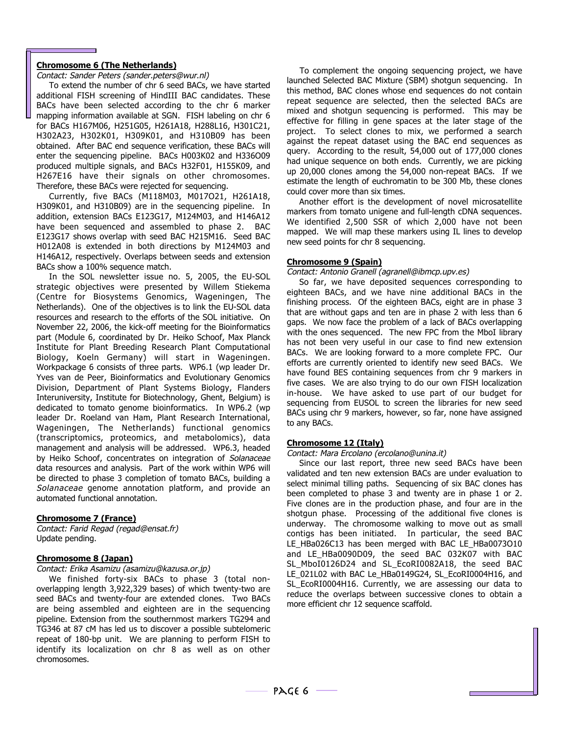### **Chromosome 6 (The Netherlands)**

Contact: Sander Peters (sander.peters@wur.nl)

To extend the number of chr 6 seed BACs, we have started additional FISH screening of HindIII BAC candidates. These BACs have been selected according to the chr 6 marker mapping information available at SGN. FISH labeling on chr 6 for BACs H167M06, H251G05, H261A18, H288L16, H301C21, H302A23, H302K01, H309K01, and H310B09 has been obtained. After BAC end sequence verification, these BACs will enter the sequencing pipeline. BACs H003K02 and H336O09 produced multiple signals, and BACs H32F01, H155K09, and H267E16 have their signals on other chromosomes. Therefore, these BACs were rejected for sequencing.

Currently, five BACs (M118M03, M017O21, H261A18, H309K01, and H310B09) are in the sequencing pipeline. In addition, extension BACs E123G17, M124M03, and H146A12 have been sequenced and assembled to phase 2. BAC E123G17 shows overlap with seed BAC H215M16. Seed BAC H012A08 is extended in both directions by M124M03 and H146A12, respectively. Overlaps between seeds and extension BACs show a 100% sequence match.

In the SOL newsletter issue no. 5, 2005, the EU-SOL strategic objectives were presented by Willem Stiekema (Centre for Biosystems Genomics, Wageningen, The Netherlands). One of the objectives is to link the EU-SOL data resources and research to the efforts of the SOL initiative. On November 22, 2006, the kick-off meeting for the Bioinformatics part (Module 6, coordinated by Dr. Heiko Schoof, Max Planck Institute for Plant Breeding Research Plant Computational Biology, Koeln Germany) will start in Wageningen. Workpackage 6 consists of three parts. WP6.1 (wp leader Dr. Yves van de Peer, Bioinformatics and Evolutionary Genomics Division, Department of Plant Systems Biology, Flanders Interuniversity, Institute for Biotechnology, Ghent, Belgium) is dedicated to tomato genome bioinformatics. In WP6.2 (wp leader Dr. Roeland van Ham, Plant Research International, Wageningen, The Netherlands) functional genomics (transcriptomics, proteomics, and metabolomics), data management and analysis will be addressed. WP6.3, headed by Heiko Schoof, concentrates on integration of Solanaceae data resources and analysis. Part of the work within WP6 will be directed to phase 3 completion of tomato BACs, building a Solanaceae genome annotation platform, and provide an automated functional annotation.

### **Chromosome 7 (France)**

Contact: Farid Regad (regad@ensat.fr) Update pending.

### **Chromosome 8 (Japan)**

Contact: Erika Asamizu (asamizu@kazusa.or.jp)

We finished forty-six BACs to phase 3 (total nonoverlapping length 3,922,329 bases) of which twenty-two are seed BACs and twenty-four are extended clones. Two BACs are being assembled and eighteen are in the sequencing pipeline. Extension from the southernmost markers TG294 and TG346 at 87 cM has led us to discover a possible subtelomeric repeat of 180-bp unit. We are planning to perform FISH to identify its localization on chr 8 as well as on other chromosomes.

To complement the ongoing sequencing project, we have launched Selected BAC Mixture (SBM) shotgun sequencing. In this method, BAC clones whose end sequences do not contain repeat sequence are selected, then the selected BACs are mixed and shotgun sequencing is performed. This may be effective for filling in gene spaces at the later stage of the project. To select clones to mix, we performed a search against the repeat dataset using the BAC end sequences as query. According to the result, 54,000 out of 177,000 clones had unique sequence on both ends. Currently, we are picking up 20,000 clones among the 54,000 non-repeat BACs. If we estimate the length of euchromatin to be 300 Mb, these clones could cover more than six times.

Another effort is the development of novel microsatellite markers from tomato unigene and full-length cDNA sequences. We identified 2,500 SSR of which 2,000 have not been mapped. We will map these markers using IL lines to develop new seed points for chr 8 sequencing.

#### **Chromosome 9 (Spain)**

Contact: Antonio Granell (agranell@ibmcp.upv.es)

So far, we have deposited sequences corresponding to eighteen BACs, and we have nine additional BACs in the finishing process. Of the eighteen BACs, eight are in phase 3 that are without gaps and ten are in phase 2 with less than 6 gaps. We now face the problem of a lack of BACs overlapping with the ones sequenced. The new FPC from the MboI library has not been very useful in our case to find new extension BACs. We are looking forward to a more complete FPC. Our efforts are currently oriented to identify new seed BACs. We have found BES containing sequences from chr 9 markers in five cases. We are also trying to do our own FISH localization in-house. We have asked to use part of our budget for sequencing from EUSOL to screen the libraries for new seed BACs using chr 9 markers, however, so far, none have assigned to any BACs.

### **Chromosome 12 (Italy)**

Contact: Mara Ercolano (ercolano@unina.it)

Since our last report, three new seed BACs have been validated and ten new extension BACs are under evaluation to select minimal tilling paths. Sequencing of six BAC clones has been completed to phase 3 and twenty are in phase 1 or 2. Five clones are in the production phase, and four are in the shotgun phase. Processing of the additional five clones is underway. The chromosome walking to move out as small contigs has been initiated. In particular, the seed BAC LE\_HBa026C13 has been merged with BAC LE\_HBa0073O10 and LE\_HBa0090D09, the seed BAC 032K07 with BAC SL\_MboI0126D24 and SL\_EcoRI0082A18, the seed BAC LE\_021L02 with BAC Le\_HBa0149G24, SL\_EcoRI0004H16, and SL\_EcoRI0004H16. Currently, we are assessing our data to reduce the overlaps between successive clones to obtain a more efficient chr 12 sequence scaffold.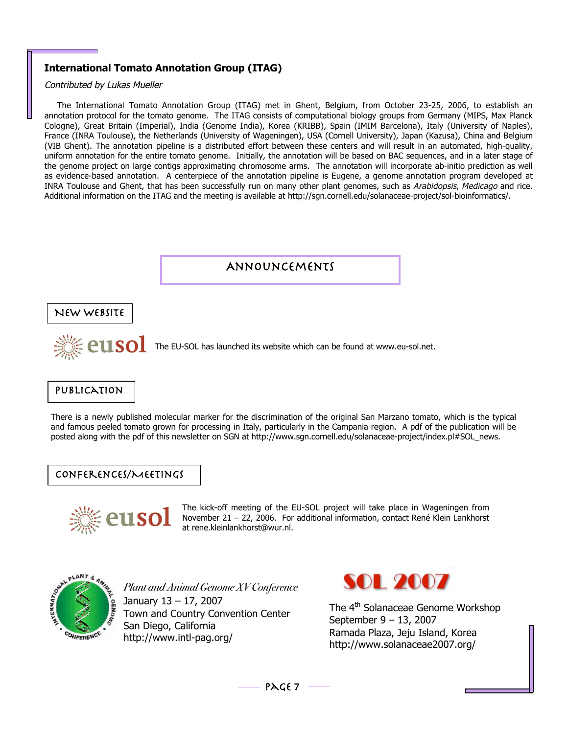# **International Tomato Annotation Group (ITAG)**

Contributed by Lukas Mueller

The International Tomato Annotation Group (ITAG) met in Ghent, Belgium, from October 23-25, 2006, to establish an annotation protocol for the tomato genome. The ITAG consists of computational biology groups from Germany (MIPS, Max Planck Cologne), Great Britain (Imperial), India (Genome India), Korea (KRIBB), Spain (IMIM Barcelona), Italy (University of Naples), France (INRA Toulouse), the Netherlands (University of Wageningen), USA (Cornell University), Japan (Kazusa), China and Belgium (VIB Ghent). The annotation pipeline is a distributed effort between these centers and will result in an automated, high-quality, uniform annotation for the entire tomato genome. Initially, the annotation will be based on BAC sequences, and in a later stage of the genome project on large contigs approximating chromosome arms. The annotation will incorporate ab-initio prediction as well as evidence-based annotation. A centerpiece of the annotation pipeline is Eugene, a genome annotation program developed at INRA Toulouse and Ghent, that has been successfully run on many other plant genomes, such as Arabidopsis, Medicago and rice. Additional information on the ITAG and the meeting is available at http://sgn.cornell.edu/solanaceae-project/sol-bioinformatics/.





*Plant and Animal Genome XV Conference* January 13 – 17, 2007 Town and Country Convention Center San Diego, California http://www.intl-pag.org/



The 4<sup>th</sup> Solanaceae Genome Workshop September 9 – 13, 2007 Ramada Plaza, Jeju Island, Korea http://www.solanaceae2007.org/